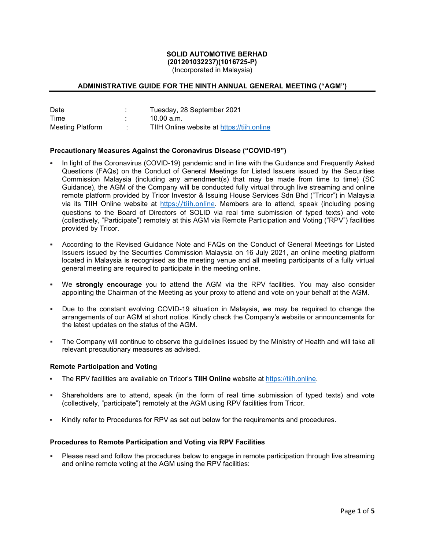#### **SOLID AUTOMOTIVE BERHAD (201201032237)(1016725-P)**

(Incorporated in Malaysia)

# **ADMINISTRATIVE GUIDE FOR THE NINTH ANNUAL GENERAL MEETING ("AGM")**

| Date             | Tuesday, 28 September 2021                 |
|------------------|--------------------------------------------|
| Time             | 10.00 a.m.                                 |
| Meeting Platform | TIIH Online website at https://tiih.online |

## **Precautionary Measures Against the Coronavirus Disease ("COVID-19")**

- In light of the Coronavirus (COVID-19) pandemic and in line with the Guidance and Frequently Asked Questions (FAQs) on the Conduct of General Meetings for Listed Issuers issued by the Securities Commission Malaysia (including any amendment(s) that may be made from time to time) (SC Guidance), the AGM of the Company will be conducted fully virtual through live streaming and online remote platform provided by Tricor Investor & Issuing House Services Sdn Bhd ("Tricor") in Malaysia via its TIIH Online website at https://tiih.online. Members are to attend, speak (including posing questions to the Board of Directors of SOLID via real time submission of typed texts) and vote (collectively, "Participate") remotely at this AGM via Remote Participation and Voting ("RPV") facilities provided by Tricor.
- According to the Revised Guidance Note and FAQs on the Conduct of General Meetings for Listed Issuers issued by the Securities Commission Malaysia on 16 July 2021, an online meeting platform located in Malaysia is recognised as the meeting venue and all meeting participants of a fully virtual general meeting are required to participate in the meeting online.
- We **strongly encourage** you to attend the AGM via the RPV facilities. You may also consider appointing the Chairman of the Meeting as your proxy to attend and vote on your behalf at the AGM.
- Due to the constant evolving COVID-19 situation in Malaysia, we may be required to change the arrangements of our AGM at short notice. Kindly check the Company's website or announcements for the latest updates on the status of the AGM.
- The Company will continue to observe the guidelines issued by the Ministry of Health and will take all relevant precautionary measures as advised.

#### **Remote Participation and Voting**

- The RPV facilities are available on Tricor's **TIIH Online** website at https://tiih.online.
- Shareholders are to attend, speak (in the form of real time submission of typed texts) and vote (collectively, "participate") remotely at the AGM using RPV facilities from Tricor.
- Kindly refer to Procedures for RPV as set out below for the requirements and procedures.

#### **Procedures to Remote Participation and Voting via RPV Facilities**

 Please read and follow the procedures below to engage in remote participation through live streaming and online remote voting at the AGM using the RPV facilities: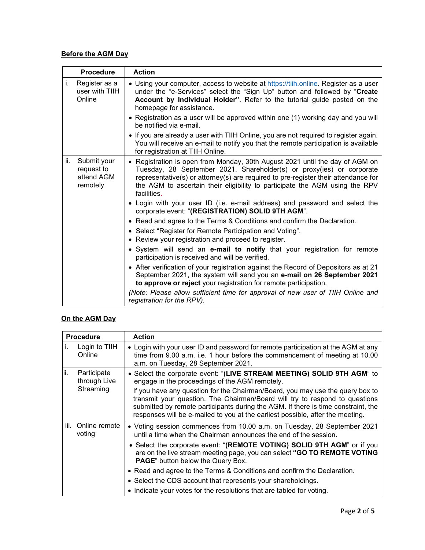# **Before the AGM Day**

|     | <b>Procedure</b>                                    | <b>Action</b>                                                                                                                                                                                                                                                                                                                                                                             |
|-----|-----------------------------------------------------|-------------------------------------------------------------------------------------------------------------------------------------------------------------------------------------------------------------------------------------------------------------------------------------------------------------------------------------------------------------------------------------------|
| i.  | Register as a<br>user with TIIH<br>Online           | • Using your computer, access to website at https://tiih.online. Register as a user<br>under the "e-Services" select the "Sign Up" button and followed by "Create<br>Account by Individual Holder". Refer to the tutorial guide posted on the<br>homepage for assistance.<br>• Registration as a user will be approved within one (1) working day and you will<br>be notified via e-mail. |
|     |                                                     | • If you are already a user with TIIH Online, you are not required to register again.<br>You will receive an e-mail to notify you that the remote participation is available<br>for registration at TIIH Online.                                                                                                                                                                          |
| ii. | Submit your<br>request to<br>attend AGM<br>remotely | • Registration is open from Monday, 30th August 2021 until the day of AGM on<br>Tuesday, 28 September 2021. Shareholder(s) or proxy(ies) or corporate<br>representative(s) or attorney(s) are required to pre-register their attendance for<br>the AGM to ascertain their eligibility to participate the AGM using the RPV<br>facilities.                                                 |
|     |                                                     | • Login with your user ID (i.e. e-mail address) and password and select the<br>corporate event: "(REGISTRATION) SOLID 9TH AGM".                                                                                                                                                                                                                                                           |
|     |                                                     | • Read and agree to the Terms & Conditions and confirm the Declaration.                                                                                                                                                                                                                                                                                                                   |
|     |                                                     | • Select "Register for Remote Participation and Voting".<br>• Review your registration and proceed to register.                                                                                                                                                                                                                                                                           |
|     |                                                     | • System will send an e-mail to notify that your registration for remote<br>participation is received and will be verified.                                                                                                                                                                                                                                                               |
|     |                                                     | • After verification of your registration against the Record of Depositors as at 21<br>September 2021, the system will send you an e-mail on 26 September 2021<br>to approve or reject your registration for remote participation.                                                                                                                                                        |
|     |                                                     | (Note: Please allow sufficient time for approval of new user of TIIH Online and<br>registration for the RPV).                                                                                                                                                                                                                                                                             |

# **On the AGM Day**

| <b>Procedure</b> |                                          | <b>Action</b>                                                                                                                                                                                                                                                                                                                       |
|------------------|------------------------------------------|-------------------------------------------------------------------------------------------------------------------------------------------------------------------------------------------------------------------------------------------------------------------------------------------------------------------------------------|
| İ.               | Login to TIIH<br>Online                  | • Login with your user ID and password for remote participation at the AGM at any<br>time from 9.00 a.m. i.e. 1 hour before the commencement of meeting at 10.00<br>a.m. on Tuesday, 28 September 2021.                                                                                                                             |
| lii.             | Participate<br>through Live<br>Streaming | • Select the corporate event: "(LIVE STREAM MEETING) SOLID 9TH AGM" to<br>engage in the proceedings of the AGM remotely.                                                                                                                                                                                                            |
|                  |                                          | If you have any question for the Chairman/Board, you may use the query box to<br>transmit your question. The Chairman/Board will try to respond to questions<br>submitted by remote participants during the AGM. If there is time constraint, the<br>responses will be e-mailed to you at the earliest possible, after the meeting. |
|                  | iii. Online remote<br>voting             | • Voting session commences from 10.00 a.m. on Tuesday, 28 September 2021<br>until a time when the Chairman announces the end of the session.                                                                                                                                                                                        |
|                  |                                          | • Select the corporate event: "(REMOTE VOTING) SOLID 9TH AGM" or if you<br>are on the live stream meeting page, you can select "GO TO REMOTE VOTING<br>PAGE" button below the Query Box.                                                                                                                                            |
|                  |                                          | • Read and agree to the Terms & Conditions and confirm the Declaration.                                                                                                                                                                                                                                                             |
|                  |                                          | • Select the CDS account that represents your shareholdings.                                                                                                                                                                                                                                                                        |
|                  |                                          | • Indicate your votes for the resolutions that are tabled for voting.                                                                                                                                                                                                                                                               |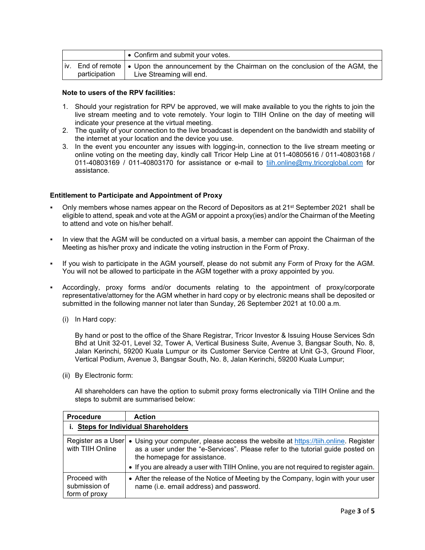|               | I • Confirm and submit your votes.                                                                                        |
|---------------|---------------------------------------------------------------------------------------------------------------------------|
| participation | iv. End of remote   ● Upon the announcement by the Chairman on the conclusion of the AGM, the<br>Live Streaming will end. |

## **Note to users of the RPV facilities:**

- 1. Should your registration for RPV be approved, we will make available to you the rights to join the live stream meeting and to vote remotely. Your login to TIIH Online on the day of meeting will indicate your presence at the virtual meeting.
- 2. The quality of your connection to the live broadcast is dependent on the bandwidth and stability of the internet at your location and the device you use.
- 3. In the event you encounter any issues with logging-in, connection to the live stream meeting or online voting on the meeting day, kindly call Tricor Help Line at 011-40805616 / 011-40803168 / 011-40803169 / 011-40803170 for assistance or e-mail to tiih.online@my.tricorglobal.com for assistance.

## **Entitlement to Participate and Appointment of Proxy**

- Only members whose names appear on the Record of Depositors as at 21<sup>st</sup> September 2021 shall be eligible to attend, speak and vote at the AGM or appoint a proxy(ies) and/or the Chairman of the Meeting to attend and vote on his/her behalf.
- In view that the AGM will be conducted on a virtual basis, a member can appoint the Chairman of the Meeting as his/her proxy and indicate the voting instruction in the Form of Proxy.
- If you wish to participate in the AGM yourself, please do not submit any Form of Proxy for the AGM. You will not be allowed to participate in the AGM together with a proxy appointed by you.
- Accordingly, proxy forms and/or documents relating to the appointment of proxy/corporate representative/attorney for the AGM whether in hard copy or by electronic means shall be deposited or submitted in the following manner not later than Sunday, 26 September 2021 at 10.00 a.m.
	- (i) In Hard copy:

By hand or post to the office of the Share Registrar, Tricor Investor & Issuing House Services Sdn Bhd at Unit 32-01, Level 32, Tower A, Vertical Business Suite, Avenue 3, Bangsar South, No. 8, Jalan Kerinchi, 59200 Kuala Lumpur or its Customer Service Centre at Unit G-3, Ground Floor, Vertical Podium, Avenue 3, Bangsar South, No. 8, Jalan Kerinchi, 59200 Kuala Lumpur;

(ii) By Electronic form:

All shareholders can have the option to submit proxy forms electronically via TIIH Online and the steps to submit are summarised below:

| <b>Procedure</b>                               | <b>Action</b>                                                                                                                                                                                                                                                                                                     |  |
|------------------------------------------------|-------------------------------------------------------------------------------------------------------------------------------------------------------------------------------------------------------------------------------------------------------------------------------------------------------------------|--|
| i. Steps for Individual Shareholders           |                                                                                                                                                                                                                                                                                                                   |  |
| with TIIH Online                               | Register as a User   • Using your computer, please access the website at https://tiih.online. Register<br>as a user under the "e-Services". Please refer to the tutorial guide posted on<br>the homepage for assistance.<br>• If you are already a user with TIIH Online, you are not required to register again. |  |
| Proceed with<br>submission of<br>form of proxy | • After the release of the Notice of Meeting by the Company, login with your user<br>name (i.e. email address) and password.                                                                                                                                                                                      |  |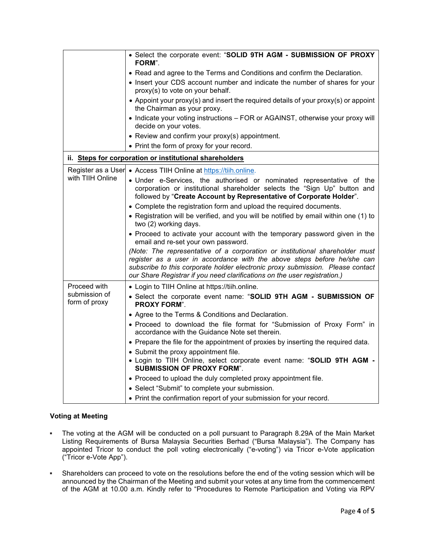|                                | • Select the corporate event: "SOLID 9TH AGM - SUBMISSION OF PROXY<br>FORM".                                                                                                                                                                                                                                           |
|--------------------------------|------------------------------------------------------------------------------------------------------------------------------------------------------------------------------------------------------------------------------------------------------------------------------------------------------------------------|
|                                | • Read and agree to the Terms and Conditions and confirm the Declaration.                                                                                                                                                                                                                                              |
|                                | • Insert your CDS account number and indicate the number of shares for your<br>proxy(s) to vote on your behalf.                                                                                                                                                                                                        |
|                                | • Appoint your proxy(s) and insert the required details of your proxy(s) or appoint<br>the Chairman as your proxy.                                                                                                                                                                                                     |
|                                | • Indicate your voting instructions - FOR or AGAINST, otherwise your proxy will<br>decide on your votes.                                                                                                                                                                                                               |
|                                | • Review and confirm your proxy(s) appointment.                                                                                                                                                                                                                                                                        |
|                                | • Print the form of proxy for your record.                                                                                                                                                                                                                                                                             |
|                                | ii. Steps for corporation or institutional shareholders                                                                                                                                                                                                                                                                |
|                                | Register as a User • Access TIIH Online at https://tiih.online.                                                                                                                                                                                                                                                        |
| with TIIH Online               | · Under e-Services, the authorised or nominated representative of the<br>corporation or institutional shareholder selects the "Sign Up" button and<br>followed by "Create Account by Representative of Corporate Holder".                                                                                              |
|                                | • Complete the registration form and upload the required documents.                                                                                                                                                                                                                                                    |
|                                | • Registration will be verified, and you will be notified by email within one (1) to<br>two (2) working days.                                                                                                                                                                                                          |
|                                | • Proceed to activate your account with the temporary password given in the<br>email and re-set your own password.                                                                                                                                                                                                     |
|                                | (Note: The representative of a corporation or institutional shareholder must<br>register as a user in accordance with the above steps before he/she can<br>subscribe to this corporate holder electronic proxy submission. Please contact<br>our Share Registrar if you need clarifications on the user registration.) |
| Proceed with                   | • Login to TIIH Online at https://tiih.online.                                                                                                                                                                                                                                                                         |
| submission of<br>form of proxy | • Select the corporate event name: "SOLID 9TH AGM - SUBMISSION OF<br><b>PROXY FORM".</b>                                                                                                                                                                                                                               |
|                                | • Agree to the Terms & Conditions and Declaration.                                                                                                                                                                                                                                                                     |
|                                | • Proceed to download the file format for "Submission of Proxy Form" in<br>accordance with the Guidance Note set therein.                                                                                                                                                                                              |
|                                | • Prepare the file for the appointment of proxies by inserting the required data.                                                                                                                                                                                                                                      |
|                                | • Submit the proxy appointment file.<br>. Login to TIIH Online, select corporate event name: "SOLID 9TH AGM -<br><b>SUBMISSION OF PROXY FORM".</b>                                                                                                                                                                     |
|                                | • Proceed to upload the duly completed proxy appointment file.                                                                                                                                                                                                                                                         |
|                                | • Select "Submit" to complete your submission.                                                                                                                                                                                                                                                                         |
|                                | • Print the confirmation report of your submission for your record.                                                                                                                                                                                                                                                    |

# **Voting at Meeting**

- The voting at the AGM will be conducted on a poll pursuant to Paragraph 8.29A of the Main Market Listing Requirements of Bursa Malaysia Securities Berhad ("Bursa Malaysia"). The Company has appointed Tricor to conduct the poll voting electronically ("e-voting") via Tricor e-Vote application ("Tricor e-Vote App").
- Shareholders can proceed to vote on the resolutions before the end of the voting session which will be announced by the Chairman of the Meeting and submit your votes at any time from the commencement of the AGM at 10.00 a.m. Kindly refer to "Procedures to Remote Participation and Voting via RPV